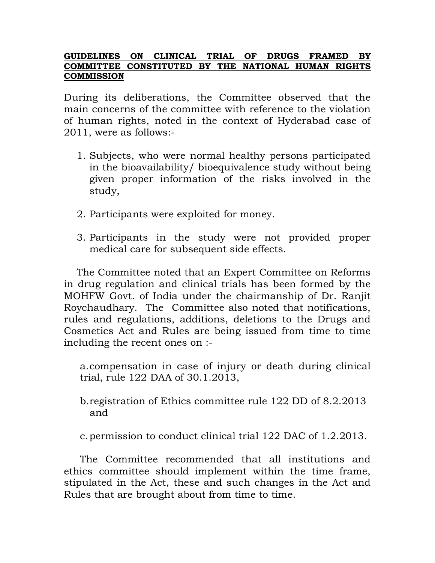## **GUIDELINES ON CLINICAL TRIAL OF DRUGS FRAMED BY COMMITTEE CONSTITUTED BY THE NATIONAL HUMAN RIGHTS COMMISSION**

During its deliberations, the Committee observed that the main concerns of the committee with reference to the violation of human rights, noted in the context of Hyderabad case of 2011, were as follows:-

- 1. Subjects, who were normal healthy persons participated in the bioavailability/ bioequivalence study without being given proper information of the risks involved in the study,
- 2. Participants were exploited for money.
- 3. Participants in the study were not provided proper medical care for subsequent side effects.

The Committee noted that an Expert Committee on Reforms in drug regulation and clinical trials has been formed by the MOHFW Govt. of India under the chairmanship of Dr. Ranjit Roychaudhary. The Committee also noted that notifications, rules and regulations, additions, deletions to the Drugs and Cosmetics Act and Rules are being issued from time to time including the recent ones on :-

a.compensation in case of injury or death during clinical trial, rule 122 DAA of 30.1.2013,

- b.registration of Ethics committee rule 122 DD of 8.2.2013 and
- c.permission to conduct clinical trial 122 DAC of 1.2.2013.

The Committee recommended that all institutions and ethics committee should implement within the time frame, stipulated in the Act, these and such changes in the Act and Rules that are brought about from time to time.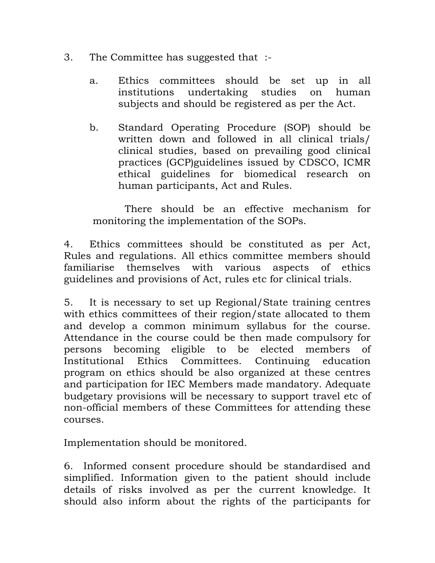- 3. The Committee has suggested that :
	- a. Ethics committees should be set up in all institutions undertaking studies on human subjects and should be registered as per the Act.
	- b. Standard Operating Procedure (SOP) should be written down and followed in all clinical trials/ clinical studies, based on prevailing good clinical practices (GCP)guidelines issued by CDSCO, ICMR ethical guidelines for biomedical research on human participants, Act and Rules.

 There should be an effective mechanism for monitoring the implementation of the SOPs.

4. Ethics committees should be constituted as per Act, Rules and regulations. All ethics committee members should familiarise themselves with various aspects of ethics guidelines and provisions of Act, rules etc for clinical trials.

5. It is necessary to set up Regional/State training centres with ethics committees of their region/state allocated to them and develop a common minimum syllabus for the course. Attendance in the course could be then made compulsory for persons becoming eligible to be elected members of Institutional Ethics Committees. Continuing education program on ethics should be also organized at these centres and participation for IEC Members made mandatory. Adequate budgetary provisions will be necessary to support travel etc of non-official members of these Committees for attending these courses.

Implementation should be monitored.

6. Informed consent procedure should be standardised and simplified. Information given to the patient should include details of risks involved as per the current knowledge. It should also inform about the rights of the participants for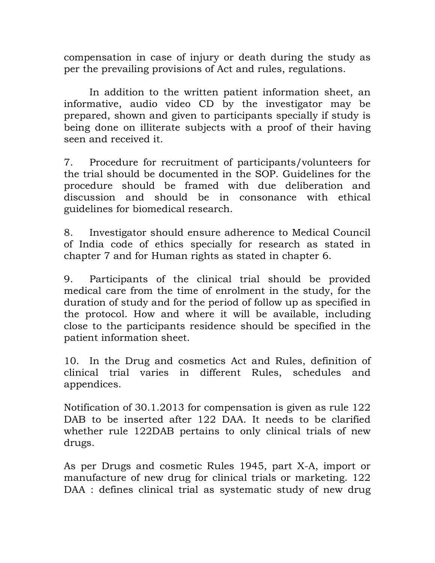compensation in case of injury or death during the study as per the prevailing provisions of Act and rules, regulations.

In addition to the written patient information sheet, an informative, audio video CD by the investigator may be prepared, shown and given to participants specially if study is being done on illiterate subjects with a proof of their having seen and received it.

7. Procedure for recruitment of participants/volunteers for the trial should be documented in the SOP. Guidelines for the procedure should be framed with due deliberation and discussion and should be in consonance with ethical guidelines for biomedical research.

8. Investigator should ensure adherence to Medical Council of India code of ethics specially for research as stated in chapter 7 and for Human rights as stated in chapter 6.

9. Participants of the clinical trial should be provided medical care from the time of enrolment in the study, for the duration of study and for the period of follow up as specified in the protocol. How and where it will be available, including close to the participants residence should be specified in the patient information sheet.

10. In the Drug and cosmetics Act and Rules, definition of clinical trial varies in different Rules, schedules and appendices.

Notification of 30.1.2013 for compensation is given as rule 122 DAB to be inserted after 122 DAA. It needs to be clarified whether rule 122DAB pertains to only clinical trials of new drugs.

As per Drugs and cosmetic Rules 1945, part X-A, import or manufacture of new drug for clinical trials or marketing. 122 DAA : defines clinical trial as systematic study of new drug